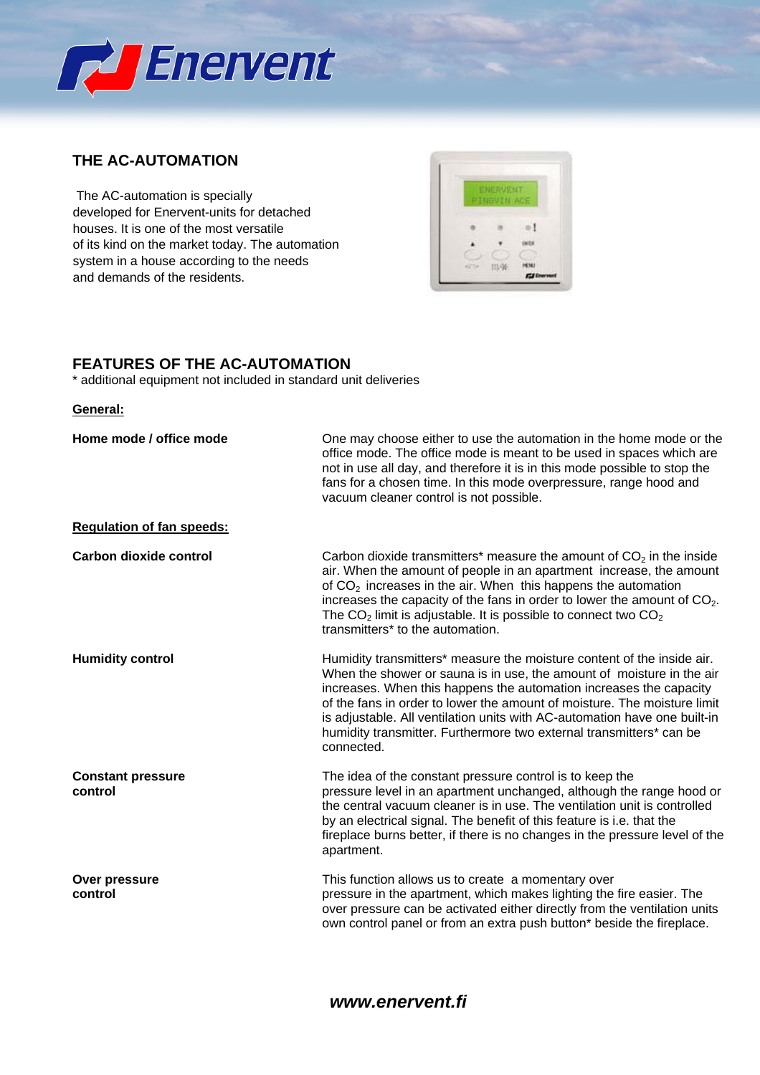

## **THE AC-AUTOMATION**

 The AC-automation is specially developed for Enervent-units for detached houses. It is one of the most versatile of its kind on the market today. The automation system in a house according to the needs and demands of the residents.



# **FEATURES OF THE AC-AUTOMATION**

\* additional equipment not included in standard unit deliveries

#### **General:**

| Home mode / office mode             | One may choose either to use the automation in the home mode or the<br>office mode. The office mode is meant to be used in spaces which are<br>not in use all day, and therefore it is in this mode possible to stop the<br>fans for a chosen time. In this mode overpressure, range hood and<br>vacuum cleaner control is not possible.                                                                                                                            |
|-------------------------------------|---------------------------------------------------------------------------------------------------------------------------------------------------------------------------------------------------------------------------------------------------------------------------------------------------------------------------------------------------------------------------------------------------------------------------------------------------------------------|
| <b>Regulation of fan speeds:</b>    |                                                                                                                                                                                                                                                                                                                                                                                                                                                                     |
| <b>Carbon dioxide control</b>       | Carbon dioxide transmitters* measure the amount of $CO2$ in the inside<br>air. When the amount of people in an apartment increase, the amount<br>of $CO2$ increases in the air. When this happens the automation<br>increases the capacity of the fans in order to lower the amount of $CO2$ .<br>The $CO2$ limit is adjustable. It is possible to connect two $CO2$<br>transmitters* to the automation.                                                            |
| <b>Humidity control</b>             | Humidity transmitters* measure the moisture content of the inside air.<br>When the shower or sauna is in use, the amount of moisture in the air<br>increases. When this happens the automation increases the capacity<br>of the fans in order to lower the amount of moisture. The moisture limit<br>is adjustable. All ventilation units with AC-automation have one built-in<br>humidity transmitter. Furthermore two external transmitters* can be<br>connected. |
| <b>Constant pressure</b><br>control | The idea of the constant pressure control is to keep the<br>pressure level in an apartment unchanged, although the range hood or<br>the central vacuum cleaner is in use. The ventilation unit is controlled<br>by an electrical signal. The benefit of this feature is i.e. that the<br>fireplace burns better, if there is no changes in the pressure level of the<br>apartment.                                                                                  |
| Over pressure<br>control            | This function allows us to create a momentary over<br>pressure in the apartment, which makes lighting the fire easier. The<br>over pressure can be activated either directly from the ventilation units<br>own control panel or from an extra push button* beside the fireplace.                                                                                                                                                                                    |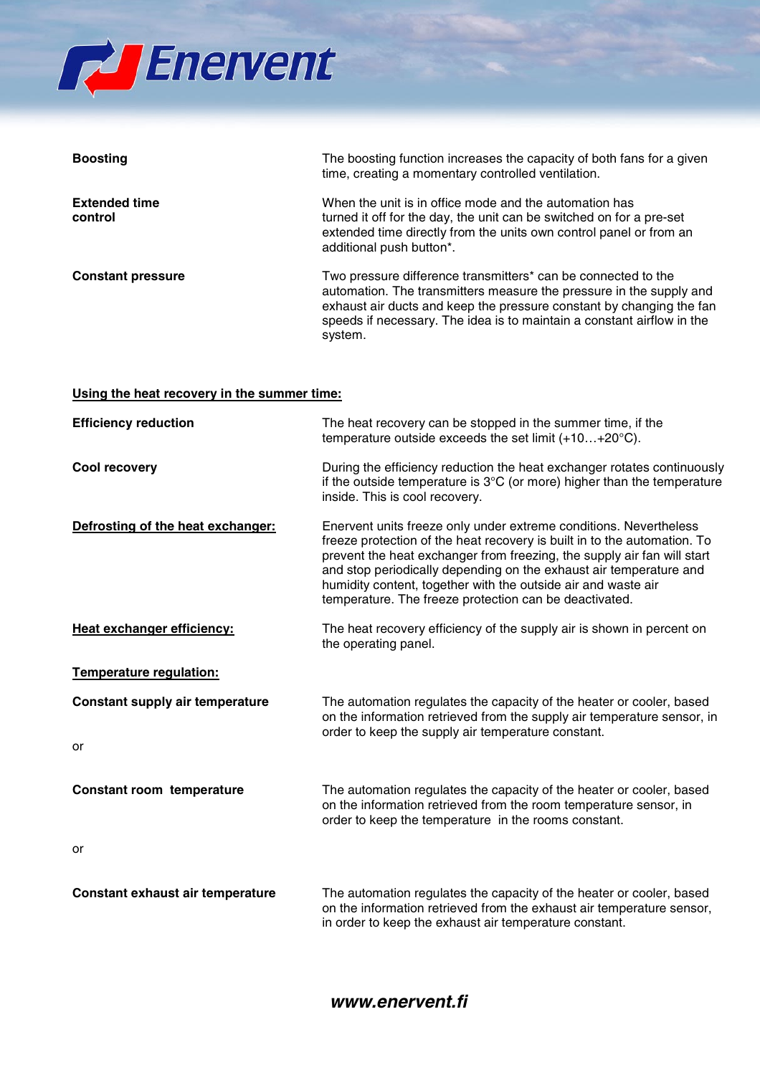

| <b>Boosting</b>                 | The boosting function increases the capacity of both fans for a given<br>time, creating a momentary controlled ventilation.                                                                                                                                                                       |
|---------------------------------|---------------------------------------------------------------------------------------------------------------------------------------------------------------------------------------------------------------------------------------------------------------------------------------------------|
| <b>Extended time</b><br>control | When the unit is in office mode and the automation has<br>turned it off for the day, the unit can be switched on for a pre-set<br>extended time directly from the units own control panel or from an<br>additional push button*.                                                                  |
| <b>Constant pressure</b>        | Two pressure difference transmitters* can be connected to the<br>automation. The transmitters measure the pressure in the supply and<br>exhaust air ducts and keep the pressure constant by changing the fan<br>speeds if necessary. The idea is to maintain a constant airflow in the<br>system. |

#### **Using the heat recovery in the summer time:**

| <b>Efficiency reduction</b>            | The heat recovery can be stopped in the summer time, if the<br>temperature outside exceeds the set limit $(+10+20^{\circ}C)$ .                                                                                                                                                                                                                                                                                            |
|----------------------------------------|---------------------------------------------------------------------------------------------------------------------------------------------------------------------------------------------------------------------------------------------------------------------------------------------------------------------------------------------------------------------------------------------------------------------------|
| Cool recovery                          | During the efficiency reduction the heat exchanger rotates continuously<br>if the outside temperature is $3^{\circ}$ C (or more) higher than the temperature<br>inside. This is cool recovery.                                                                                                                                                                                                                            |
| Defrosting of the heat exchanger:      | Enervent units freeze only under extreme conditions. Nevertheless<br>freeze protection of the heat recovery is built in to the automation. To<br>prevent the heat exchanger from freezing, the supply air fan will start<br>and stop periodically depending on the exhaust air temperature and<br>humidity content, together with the outside air and waste air<br>temperature. The freeze protection can be deactivated. |
| Heat exchanger efficiency:             | The heat recovery efficiency of the supply air is shown in percent on<br>the operating panel.                                                                                                                                                                                                                                                                                                                             |
| Temperature regulation:                |                                                                                                                                                                                                                                                                                                                                                                                                                           |
| <b>Constant supply air temperature</b> | The automation regulates the capacity of the heater or cooler, based<br>on the information retrieved from the supply air temperature sensor, in<br>order to keep the supply air temperature constant.                                                                                                                                                                                                                     |
| or                                     |                                                                                                                                                                                                                                                                                                                                                                                                                           |
| Constant room temperature              | The automation regulates the capacity of the heater or cooler, based<br>on the information retrieved from the room temperature sensor, in<br>order to keep the temperature in the rooms constant.                                                                                                                                                                                                                         |
| or                                     |                                                                                                                                                                                                                                                                                                                                                                                                                           |
| Constant exhaust air temperature       | The automation regulates the capacity of the heater or cooler, based<br>on the information retrieved from the exhaust air temperature sensor,<br>in order to keep the exhaust air temperature constant.                                                                                                                                                                                                                   |

### *www.enervent.fi*